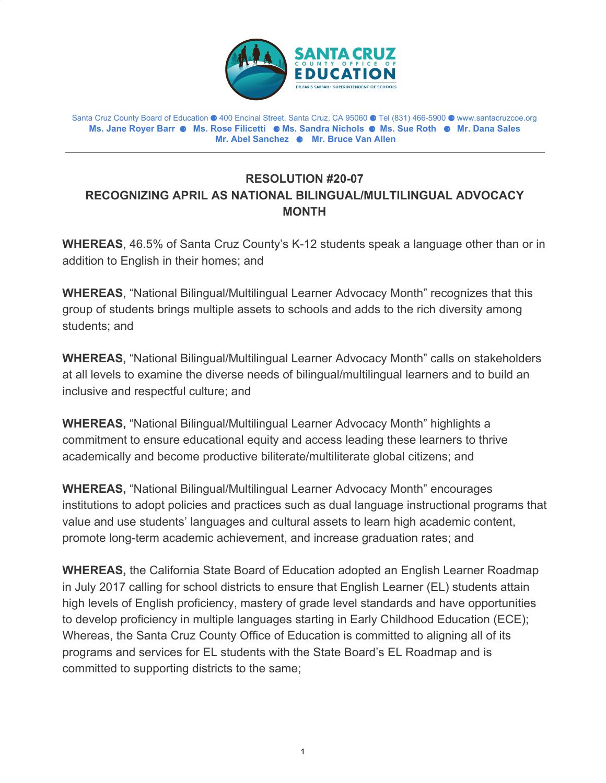

Santa Cruz County Board of Education ⚈ 400 Encinal Street, Santa Cruz, CA 95060 ⚈ Tel (831) 466-5900 ⚈ www.santacruzcoe.org **Ms. Jane Royer Barr** ⚈ **Ms. Rose Filicetti** ⚈ **Ms. Sandra Nichols** ⚈ **Ms. Sue Roth** ⚈ **Mr. Dana Sales Mr. Abel Sanchez** ⚈ **Mr. Bruce Van Allen**

## **RESOLUTION #20-07 RECOGNIZING APRIL AS NATIONAL BILINGUAL/MULTILINGUAL ADVOCACY MONTH**

**WHEREAS**, 46.5% of Santa Cruz County's K-12 students speak a language other than or in addition to English in their homes; and

**WHEREAS**, "National Bilingual/Multilingual Learner Advocacy Month" recognizes that this group of students brings multiple assets to schools and adds to the rich diversity among students; and

**WHEREAS,** "National Bilingual/Multilingual Learner Advocacy Month" calls on stakeholders at all levels to examine the diverse needs of bilingual/multilingual learners and to build an inclusive and respectful culture; and

**WHEREAS,** "National Bilingual/Multilingual Learner Advocacy Month" highlights a commitment to ensure educational equity and access leading these learners to thrive academically and become productive biliterate/multiliterate global citizens; and

**WHEREAS,** "National Bilingual/Multilingual Learner Advocacy Month" encourages institutions to adopt policies and practices such as dual language instructional programs that value and use students' languages and cultural assets to learn high academic content, promote long-term academic achievement, and increase graduation rates; and

**WHEREAS,** the California State Board of Education adopted an English Learner Roadmap in July 2017 calling for school districts to ensure that English Learner (EL) students attain high levels of English proficiency, mastery of grade level standards and have opportunities to develop proficiency in multiple languages starting in Early Childhood Education (ECE); Whereas, the Santa Cruz County Office of Education is committed to aligning all of its programs and services for EL students with the State Board's EL Roadmap and is committed to supporting districts to the same;